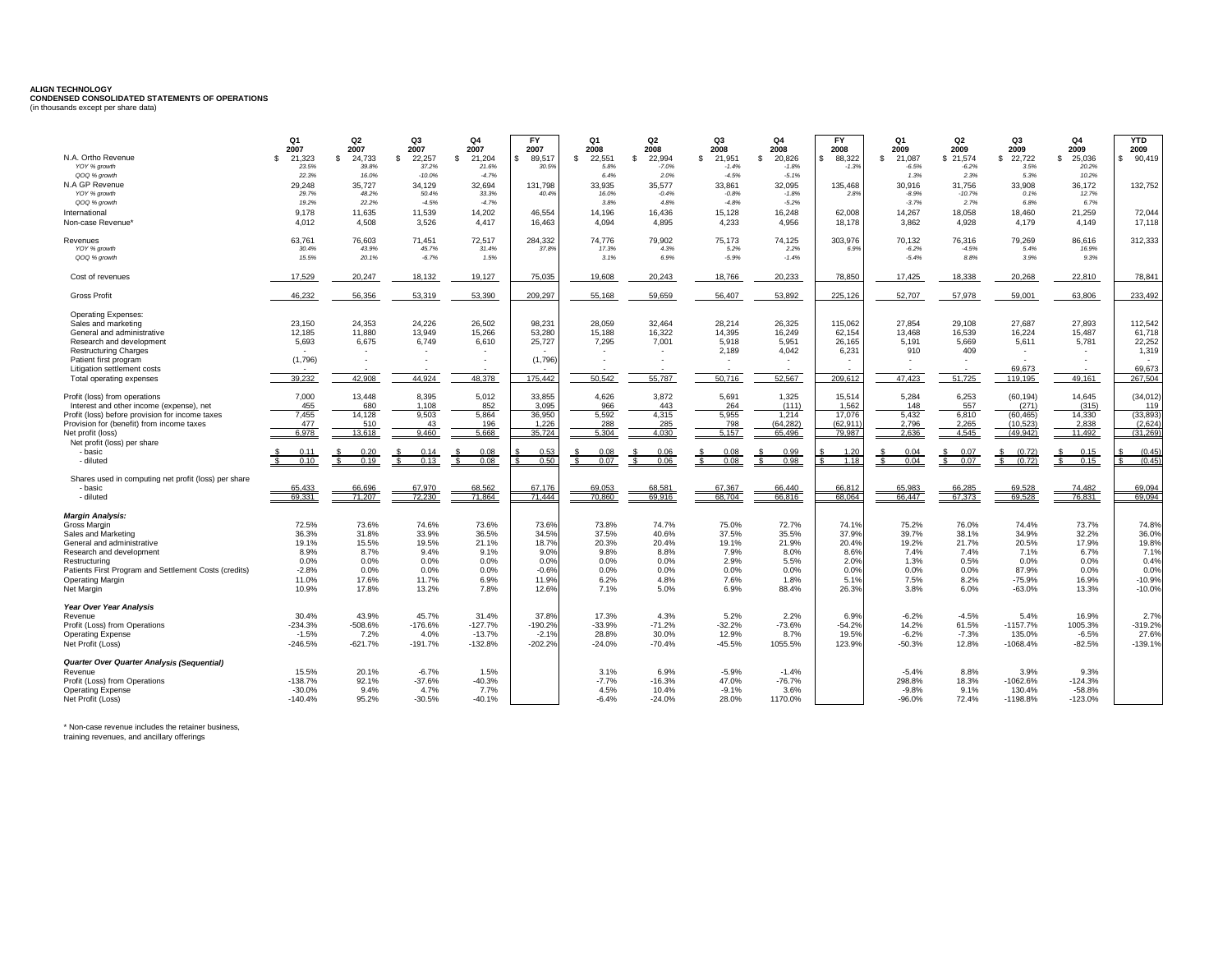## **ALIGN TECHNOLOGY CONDENSED CONSOLIDATED STATEMENTS OF OPERATIONS** (in thousands except per share data)

|                                                                 | Q <sub>1</sub><br>2007   | Q2<br>2007      | Q3<br>2007      | <b>Q4</b><br>2007 | <b>FY</b><br>2007 | Q <sub>1</sub><br>2008 | Q2<br>2008               | Q3<br>2008     | Q <sub>4</sub><br>2008 | <b>FY</b><br>2008 | <b>Q1</b><br>2009 | Q2<br>2009        | Q3<br>2009               | <b>Q4</b><br>2009 | <b>YTD</b><br>2009 |
|-----------------------------------------------------------------|--------------------------|-----------------|-----------------|-------------------|-------------------|------------------------|--------------------------|----------------|------------------------|-------------------|-------------------|-------------------|--------------------------|-------------------|--------------------|
| N.A. Ortho Revenue                                              | 21.323<br>s.             | 24.733<br>-S    | 22.257<br>£.    | 21.204<br>S.      | 89.517            | 22.551<br>£.           | 22.994<br>$\mathfrak{F}$ | £.<br>21.951   | 20.826<br>-S           | 88,322            | 21.087<br>-S      | \$21.574          | 22,722<br>-S             | 25.036<br>-8      | \$90.419           |
| YOY % growth                                                    | 23.5%                    | 39.8%           | 37.2%           | 21.6%             | 30.5%             | 5.8%                   | $-7.0%$                  | $-1.4%$        | $-1.8%$                | $-1.39$           | $-6.5%$           | $-6.2%$           | 3.5%                     | 20.2%             |                    |
| QOQ % growth                                                    | 22.3%                    | 16.0%           | $-10.0%$        | $-4.7%$           |                   | 6.4%                   | 2.0%                     | $-4.5%$        | $-5.1%$                |                   | 1.3%              | 2.3%              | 5.3%                     | 10.2%             |                    |
| N.A GP Revenue                                                  | 29.248                   | 35.727          | 34.129          | 32.694            | 131.798           | 33.935                 | 35,577                   | 33.861         | 32.095                 | 135.468           | 30.916            | 31.756            | 33,908                   | 36.172            | 132.752            |
| YOY % growth                                                    | 29.7%                    | 48.2%           | 50.4%           | 33.3%             | 40.4%             | 16.0%                  | $-0.4%$                  | $-0.8%$        | $-1.8%$                | 2.89              | $-8.9%$           | $-10.7%$          | 0.1%                     | 12.7%             |                    |
| QOQ % growth                                                    | 19.2%                    | 22.2%           | $-4.5%$         | $-4.7%$           |                   | 3.8%                   | 4.8%                     | $-4.8%$        | $-5.2%$                |                   | $-3.7%$           | 2.7%              | 6.8%                     | 6.7%              |                    |
| International                                                   | 9.178                    | 11,635          | 11,539          | 14,202            | 46,554            | 14,196                 | 16,436                   | 15,128         | 16,248                 | 62,008            | 14,267            | 18,058            | 18,460                   | 21,259            | 72,044             |
| Non-case Revenue'                                               | 4,012                    | 4,508           | 3,526           | 4,417             | 16,463            | 4.094                  | 4,895                    | 4,233          | 4,956                  | 18,178            | 3,862             | 4,928             | 4,179                    | 4,149             | 17,118             |
| Revenues<br>YOY % growth                                        | 63,761<br>30.4%          | 76.603<br>43.9% | 71.451<br>45.7% | 72.517<br>31.4%   | 284.332<br>37.8%  | 74.776<br>17.3%        | 79.902<br>4.3%           | 75.173<br>5.2% | 74.125<br>2.2%         | 303,976<br>6.9%   | 70.132<br>$-6.2%$ | 76,316<br>$-4.5%$ | 79.269<br>5.4%           | 86,616<br>16.9%   | 312,333            |
| QOQ % growth                                                    | 15.5%                    | 20.1%           | $-6.7%$         | 1.5%              |                   | 3.1%                   | 6.9%                     | $-5.9%$        | $-1.4%$                |                   | $-5.4%$           | 8.8%              | 3.9%                     | 9.3%              |                    |
| Cost of revenues                                                | 17,529                   | 20,247          | 18,132          | 19,127            | 75.035            | 19,608                 | 20.243                   | 18.766         | 20,233                 | 78,850            | 17,425            | 18,338            | 20,268                   | 22,810            | 78,841             |
| <b>Gross Profit</b>                                             | 46,232                   | 56,356          | 53,319          | 53,390            | 209,297           | 55,168                 | 59,659                   | 56,407         | 53,892                 | 225,126           | 52,707            | 57,978            | 59,001                   | 63,806            | 233,492            |
|                                                                 |                          |                 |                 |                   |                   |                        |                          |                |                        |                   |                   |                   |                          |                   |                    |
| <b>Operating Expenses:</b><br>Sales and marketing               | 23.150                   | 24.353          | 24.226          | 26.502            | 98.231            | 28.059                 | 32.464                   | 28.214         | 26.325                 | 115.062           | 27.854            | 29.108            | 27.687                   | 27.893            | 112.542            |
| General and administrative                                      | 12,185                   | 11.880          | 13.949          | 15,266            | 53.280            | 15.188                 | 16.322                   | 14.395         | 16,249                 | 62,154            | 13,468            | 16,539            | 16,224                   | 15,487            | 61,718             |
| Research and development                                        | 5,693                    | 6,675           | 6,749           | 6,610             | 25,727            | 7,295                  | 7,001                    | 5,918          | 5,951                  | 26,165            | 5,191             | 5,669             | 5,611                    | 5,781             | 22,252             |
| <b>Restructuring Charges</b>                                    | $\overline{\phantom{a}}$ |                 |                 |                   |                   |                        |                          | 2,189          | 4,042                  | 6,231             | 910               | 409               | $\overline{\phantom{a}}$ |                   | 1,319              |
| Patient first program                                           | (1,796)                  |                 |                 |                   | (1,796)           |                        |                          |                |                        |                   |                   |                   |                          |                   |                    |
| Litigation settlement costs                                     |                          |                 |                 |                   |                   |                        |                          |                |                        |                   |                   |                   | 69.673                   |                   | 69.673             |
| Total operating expenses                                        | 39.232                   | 42.908          | 44.924          | 48.378            | 175.442           | 50,542                 | 55,787                   | 50,716         | 52,567                 | 209,612           | 47,423            | 51,725            | 119,195                  | 49,161            | 267.504            |
| Profit (loss) from operations                                   | 7,000                    | 13.448          | 8,395           | 5,012             | 33,855            | 4,626                  | 3,872                    | 5,691          | 1,325                  | 15,514            | 5,284             | 6,253             | (60, 194)                | 14,645            | (34, 012)          |
| Interest and other income (expense), net                        | 455                      | 680             | 1.108           | 852               | 3.095             | 966                    | 443                      | 264            | (111)                  | 1.562             | 148               | 557               | (271)                    | (315)             | 119                |
| Profit (loss) before provision for income taxes                 | 7,455                    | 14,128          | 9,503           | 5,864             | 36,950            | 5,592                  | 4,315                    | 5,955          | 1,214                  | 17,076            | 5,432             | 6,810             | (60, 465)                | 14,330            | (33, 893)          |
| Provision for (benefit) from income taxes                       | 477                      | 510             | 43              | 196               | 1,226             | 288                    | 285                      | 798            | (64, 282)              | (62.911)          | 2.796             | 2,265             | (10, 523)                | 2,838             | (2,624)            |
| Net profit (loss)                                               | 6.978                    | 13.618          | 9.460           | 5.668             | 35.724            | 5.304                  | 4.030                    | 5.157          | 65.496                 | 79.987            | 2.636             | 4.545             | (49.942)                 | 11.492            | (31.269)           |
| Net profit (loss) per share                                     |                          |                 |                 |                   |                   |                        |                          |                |                        |                   |                   |                   |                          |                   |                    |
| - basic                                                         | 0.11                     | 0.20            | 0.14            | 0.08              | 0.53              | 0.08                   | 0.06                     | 0.08           | 0.99                   | 1.20              | 0.04              | 0.07              | (0.72)                   | 0.15              | (0.45)             |
| - diluted                                                       | 0.10                     | 0.19            | 0.13            | 0.08              | 0.50<br>¢         | 0.07                   | 0.06                     | 0.08           | 0.98                   | 1.18              | 0.04              | \$ 0.07           | \$ (0.72)                | 0.15              | (0.45)             |
| Shares used in computing net profit (loss) per share<br>- basic | 65 433                   | 886.88          | 67.970          | 68.562            | 67.176            | 69.053                 | 68.581                   | 67.367         | 66.440                 | 66.812            | 65.983            | 66.285            | 69.528                   | 74.482            | 69.094             |
| - diluted                                                       | 69.331                   | 71.207          | 72.230          | 71.864            | 71.444            | 70.860                 | 69.916                   | 68.704         | 66.816                 | 68.064            | 66.447            | 67.373            | 69.528                   | 76.831            | 69.094             |
|                                                                 |                          |                 |                 |                   |                   |                        |                          |                |                        |                   |                   |                   |                          |                   |                    |
| <b>Margin Analysis:</b>                                         |                          |                 |                 |                   |                   |                        |                          |                |                        |                   |                   |                   |                          |                   |                    |
| Gross Margin                                                    | 72.5%                    | 73.6%           | 74.6%           | 73.6%             | 73.6%             | 73.8%                  | 74.7%                    | 75.0%          | 72.7%                  | 74.19             | 75.2%             | 76.0%             | 74.4%                    | 73.7%             | 74.8%              |
| Sales and Marketing                                             | 36.3%                    | 31.8%           | 33.9%           | 36.5%<br>21.1%    | 34.5%             | 37.5%                  | 40.6%                    | 37.5%          | 35.5%                  | 37.9%             | 39.7%             | 38.1%             | 34.9%                    | 32.2%             | 36.0%              |
| General and administrative<br>Research and development          | 19.1%<br>8.9%            | 15.5%<br>8.7%   | 19.5%<br>9.4%   | 9.1%              | 18.7%<br>9.0%     | 20.3%<br>9.8%          | 20.4%<br>8.8%            | 19.1%<br>7.9%  | 21.9%<br>8.0%          | 20.4%<br>8.6%     | 19.2%<br>7.4%     | 21.7%<br>7.4%     | 20.5%<br>7.1%            | 17.9%<br>6.7%     | 19.8%<br>7.1%      |
| Restructuring                                                   | 0.0%                     | 0.0%            | 0.0%            | 0.0%              | 0.0%              | 0.0%                   | 0.0%                     | 2.9%           | 5.5%                   | 2.0%              | 1.3%              | 0.5%              | 0.0%                     | 0.0%              | 0.4%               |
| Patients First Program and Settlement Costs (credits)           | $-2.8%$                  | 0.0%            | 0.0%            | 0.0%              | $-0.6%$           | 0.0%                   | 0.0%                     | 0.0%           | 0.0%                   | 0.0%              | 0.0%              | 0.0%              | 87.9%                    | 0.0%              | 0.0%               |
| <b>Operating Margin</b>                                         | 11.0%                    | 17.6%           | 11.7%           | 6.9%              | 11.9%             | 6.2%                   | 4.8%                     | 7.6%           | 1.8%                   | 5.1%              | 7.5%              | 8.2%              | $-75.9%$                 | 16.9%             | $-10.9%$           |
| Net Margin                                                      | 10.9%                    | 17.8%           | 13.2%           | 7.8%              | 12.6%             | 7.1%                   | 5.0%                     | 6.9%           | 88.4%                  | 26.3%             | 3.8%              | 6.0%              | $-63.0%$                 | 13.3%             | $-10.0%$           |
| Year Over Year Analysis                                         |                          |                 |                 |                   |                   |                        |                          |                |                        |                   |                   |                   |                          |                   |                    |
| Revenue                                                         | 30.4%                    | 43.9%           | 45.7%           | 31.4%             | 37.8%             | 17.3%                  | 4.3%                     | 5.2%           | 2.2%                   | 6.9%              | $-6.2%$           | $-4.5%$           | 5.4%                     | 16.9%             | 2.7%               |
| Profit (Loss) from Operations                                   | $-234.3%$                | $-508.6%$       | $-176.6%$       | $-127.7%$         | $-190.2%$         | $-33.9%$               | $-71.2%$                 | $-32.2%$       | $-73.6%$               | $-54.2%$          | 14.2%             | 61.5%             | $-1157.7%$               | 1005.3%           | $-319.2%$          |
| <b>Operating Expense</b>                                        | $-1.5%$                  | 7.2%            | 4.0%            | $-13.7%$          | $-2.1%$           | 28.8%                  | 30.0%                    | 12.9%          | 8.7%                   | 19.5%             | $-6.2%$           | $-7.3%$           | 135.0%                   | $-6.5%$           | 27.6%              |
| Net Profit (Loss)                                               | $-246.5%$                | $-621.7%$       | $-191.7%$       | $-132.8%$         | $-202.2%$         | $-24.0%$               | $-70.4%$                 | $-45.5%$       | 1055.5%                | 123.9%            | $-50.3%$          | 12.8%             | $-1068.4%$               | $-82.5%$          | $-139.1%$          |
| Quarter Over Quarter Analysis (Sequential)                      |                          |                 |                 |                   |                   |                        |                          |                |                        |                   |                   |                   |                          |                   |                    |
| Revenue                                                         | 15.5%                    | 20.1%           | $-6.7%$         | 1.5%              |                   | 3.1%                   | 6.9%                     | $-5.9%$        | $-1.4%$                |                   | $-5.4%$           | 8.8%              | 3.9%                     | 9.3%              |                    |
| Profit (Loss) from Operations                                   | $-138.7%$                | 92.1%           | $-37.6%$        | $-40.3%$          |                   | $-7.7%$                | $-16.3%$                 | 47.0%          | $-76.7%$               |                   | 298.8%            | 18.3%             | $-1062.6%$               | $-124.3%$         |                    |
| <b>Operating Expense</b>                                        | $-30.0%$                 | 9.4%            | 4.7%            | 7.7%              |                   | 4.5%                   | 10.4%                    | $-9.1%$        | 3.6%                   |                   | $-9.8%$           | 9.1%              | 130.4%                   | $-58.8%$          |                    |
| Net Profit (Loss)                                               | $-140.4%$                | 95.2%           | $-30.5%$        | $-40.1%$          |                   | $-6.4%$                | $-24.0%$                 | 28.0%          | 1170.0%                |                   | $-96.0%$          | 72.4%             | $-1198.8%$               | $-123.0%$         |                    |

\* Non-case revenue includes the retainer business, training revenues, and ancillary offerings